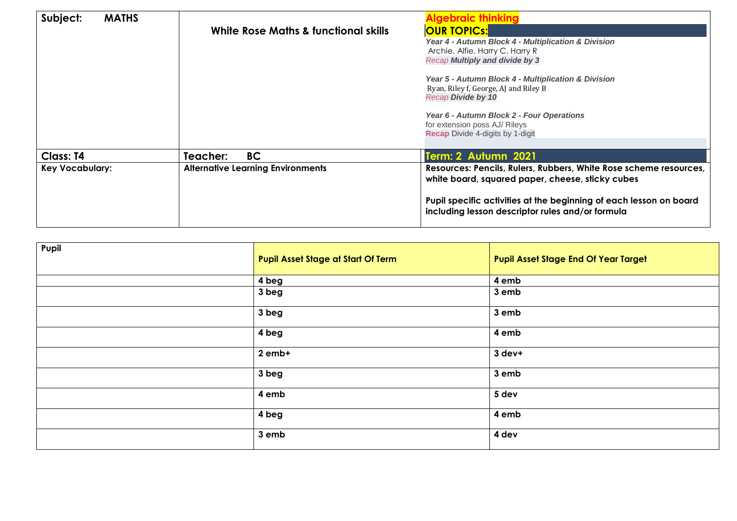| Subject:<br><b>MATHS</b> | White Rose Maths & functional skills     | <b>Algebraic thinking</b><br><b>OUR TOPICS:</b><br>Year 4 - Autumn Block 4 - Multiplication & Division<br>Archie, Alfie, Harry C, Harry R<br><b>Recap Multiply and divide by 3</b><br>Year 5 - Autumn Block 4 - Multiplication & Division<br>Ryan, Riley f, George, AJ and Riley B<br><b>Recap Divide by 10</b><br>Year 6 - Autumn Block 2 - Four Operations<br>for extension poss AJ/ Rileys<br><b>Recap Divide 4-digits by 1-digit</b> |
|--------------------------|------------------------------------------|------------------------------------------------------------------------------------------------------------------------------------------------------------------------------------------------------------------------------------------------------------------------------------------------------------------------------------------------------------------------------------------------------------------------------------------|
| <b>Class: T4</b>         | <b>BC</b><br>Teacher:                    | Term: 2 Autumn 2021                                                                                                                                                                                                                                                                                                                                                                                                                      |
| <b>Key Vocabulary:</b>   | <b>Alternative Learning Environments</b> | Resources: Pencils, Rulers, Rubbers, White Rose scheme resources,<br>white board, squared paper, cheese, sticky cubes<br>Pupil specific activities at the beginning of each lesson on board<br>including lesson descriptor rules and/or formula                                                                                                                                                                                          |

| Pupil | <b>Pupil Asset Stage at Start Of Term</b> | <b>Pupil Asset Stage End Of Year Target</b> |
|-------|-------------------------------------------|---------------------------------------------|
|       | 4 beg                                     | 4 emb                                       |
|       | 3 beg                                     | 3 emb                                       |
|       | 3 beg                                     | 3 emb                                       |
|       | 4 beg                                     | 4 emb                                       |
|       | 2 emb+                                    | 3 dev+                                      |
|       | 3 beg                                     | 3 emb                                       |
|       | 4 emb                                     | 5 dev                                       |
|       | 4 beg                                     | 4 emb                                       |
|       | 3 emb                                     | 4 dev                                       |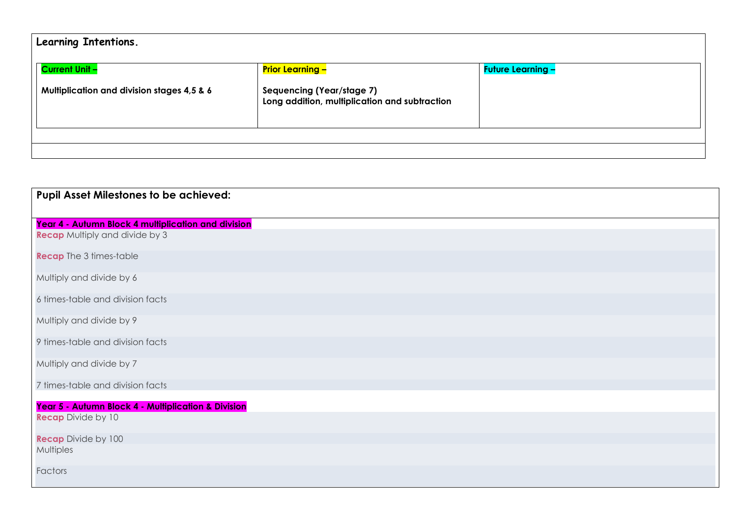| Learning Intentions.                                  |                                                                                   |                          |  |
|-------------------------------------------------------|-----------------------------------------------------------------------------------|--------------------------|--|
| <b>Current Unit -</b>                                 | <b>Prior Learning -</b>                                                           | <b>Future Learning -</b> |  |
| <b>Multiplication and division stages 4,5 &amp; 6</b> | <b>Sequencing (Year/stage 7)</b><br>Long addition, multiplication and subtraction |                          |  |
|                                                       |                                                                                   |                          |  |

| <b>Pupil Asset Milestones to be achieved:</b>       |
|-----------------------------------------------------|
| Year 4 - Autumn Block 4 multiplication and division |
| <b>Recap</b> Multiply and divide by 3               |
| <b>Recap</b> The 3 times-table                      |
| Multiply and divide by 6                            |
| 6 times-table and division facts                    |
| Multiply and divide by 9                            |
| 9 times-table and division facts                    |
| Multiply and divide by 7                            |
| 7 times-table and division facts                    |
| Year 5 - Autumn Block 4 - Multiplication & Division |
| <b>Recap Divide by 10</b>                           |
| <b>Recap Divide by 100</b>                          |
| <b>Multiples</b>                                    |
| Factors                                             |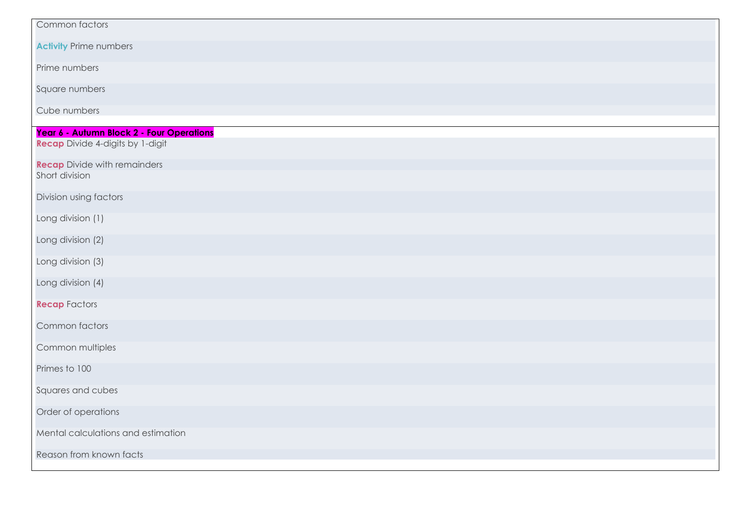| Common factors                            |
|-------------------------------------------|
| <b>Activity Prime numbers</b>             |
| Prime numbers                             |
| Square numbers                            |
| Cube numbers                              |
| Year 6 - Autumn Block 2 - Four Operations |
| <b>Recap</b> Divide 4-digits by 1-digit   |
| <b>Recap</b> Divide with remainders       |
| Short division                            |
| Division using factors                    |
| Long division (1)                         |
| Long division (2)                         |
| Long division (3)                         |
| Long division (4)                         |
| <b>Recap Factors</b>                      |
| Common factors                            |
| Common multiples                          |
| Primes to 100                             |
| Squares and cubes                         |
| Order of operations                       |
| Mental calculations and estimation        |
| Reason from known facts                   |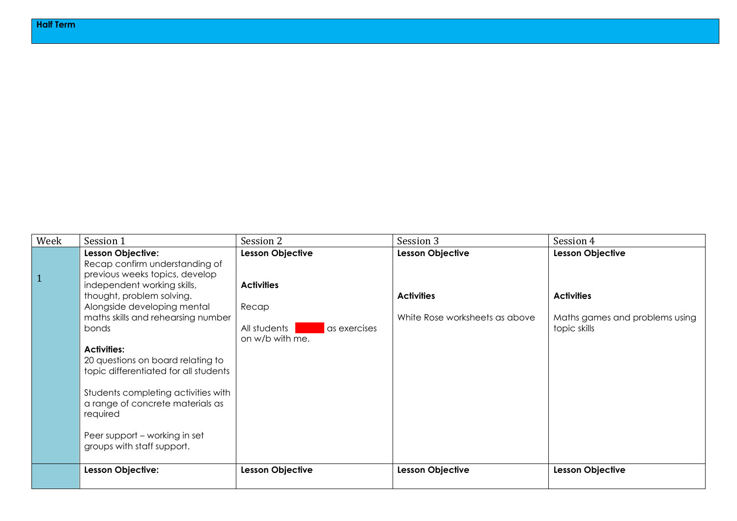| Week         | Session 1                                                                                                                                                                                                                                                                                                                                                                                                                                                   | Session 2                                                                                         | Session 3                                                               | Session 4                                                                                      |
|--------------|-------------------------------------------------------------------------------------------------------------------------------------------------------------------------------------------------------------------------------------------------------------------------------------------------------------------------------------------------------------------------------------------------------------------------------------------------------------|---------------------------------------------------------------------------------------------------|-------------------------------------------------------------------------|------------------------------------------------------------------------------------------------|
| $\mathbf{1}$ | Lesson Objective:<br>Recap confirm understanding of<br>previous weeks topics, develop<br>independent working skills,<br>thought, problem solving.<br>Alongside developing mental<br>maths skills and rehearsing number<br>bonds<br><b>Activities:</b><br>20 questions on board relating to<br>topic differentiated for all students<br>Students completing activities with<br>a range of concrete materials as<br>required<br>Peer support – working in set | Lesson Objective<br><b>Activities</b><br>Recap<br>All students<br>as exercises<br>on w/b with me. | Lesson Objective<br><b>Activities</b><br>White Rose worksheets as above | <b>Lesson Objective</b><br><b>Activities</b><br>Maths games and problems using<br>topic skills |
|              | groups with staff support.<br>Lesson Objective:                                                                                                                                                                                                                                                                                                                                                                                                             | <b>Lesson Objective</b>                                                                           | Lesson Objective                                                        | <b>Lesson Objective</b>                                                                        |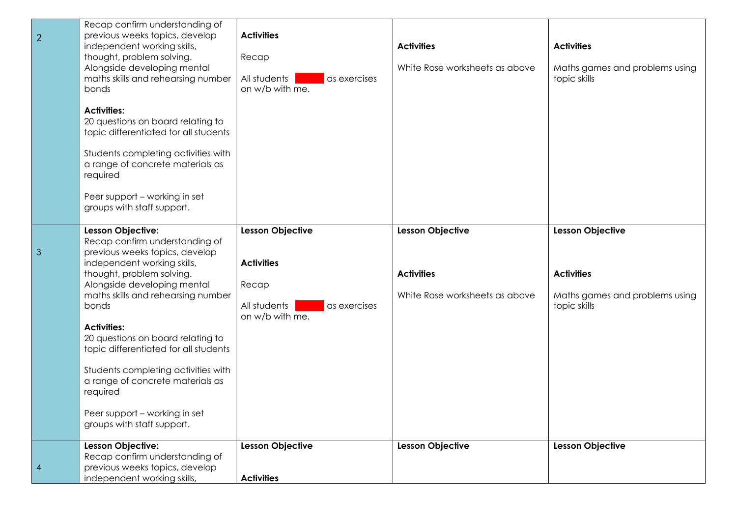| $\overline{2}$ | Recap confirm understanding of<br>previous weeks topics, develop<br>independent working skills,<br>thought, problem solving.<br>Alongside developing mental<br>maths skills and rehearsing number<br>bonds<br><b>Activities:</b><br>20 questions on board relating to<br>topic differentiated for all students<br>Students completing activities with<br>a range of concrete materials as                                                                                                 | <b>Activities</b><br>Recap<br>All students<br>as exercises<br>on w/b with me.                            | <b>Activities</b><br>White Rose worksheets as above                     | <b>Activities</b><br>Maths games and problems using<br>topic skills                            |
|----------------|-------------------------------------------------------------------------------------------------------------------------------------------------------------------------------------------------------------------------------------------------------------------------------------------------------------------------------------------------------------------------------------------------------------------------------------------------------------------------------------------|----------------------------------------------------------------------------------------------------------|-------------------------------------------------------------------------|------------------------------------------------------------------------------------------------|
|                | required<br>Peer support - working in set<br>groups with staff support.                                                                                                                                                                                                                                                                                                                                                                                                                   |                                                                                                          |                                                                         |                                                                                                |
| $\mathfrak{S}$ | Lesson Objective:<br>Recap confirm understanding of<br>previous weeks topics, develop<br>independent working skills,<br>thought, problem solving.<br>Alongside developing mental<br>maths skills and rehearsing number<br>bonds<br><b>Activities:</b><br>20 questions on board relating to<br>topic differentiated for all students<br>Students completing activities with<br>a range of concrete materials as<br>required<br>Peer support - working in set<br>groups with staff support. | <b>Lesson Objective</b><br><b>Activities</b><br>Recap<br>All students<br>as exercises<br>on w/b with me. | Lesson Objective<br><b>Activities</b><br>White Rose worksheets as above | <b>Lesson Objective</b><br><b>Activities</b><br>Maths games and problems using<br>topic skills |
| $\overline{4}$ | Lesson Objective:<br>Recap confirm understanding of<br>previous weeks topics, develop<br>independent working skills,                                                                                                                                                                                                                                                                                                                                                                      | <b>Lesson Objective</b><br><b>Activities</b>                                                             | <b>Lesson Objective</b>                                                 | Lesson Objective                                                                               |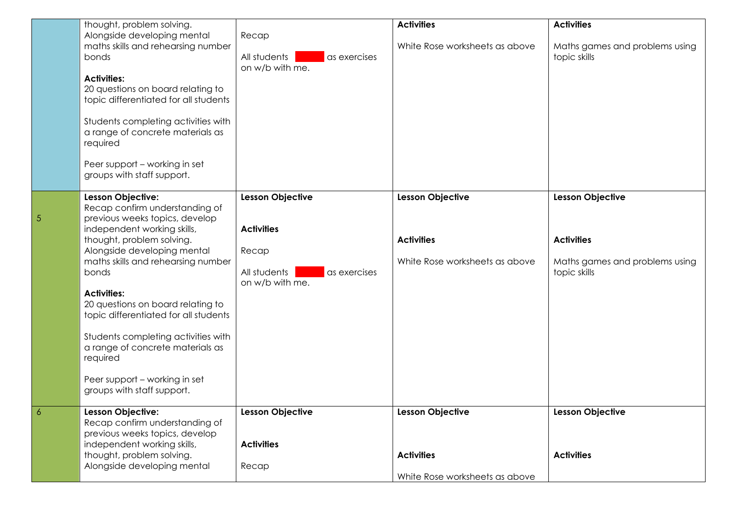|   | thought, problem solving.<br>Alongside developing mental<br>maths skills and rehearsing number<br>bonds<br><b>Activities:</b><br>20 questions on board relating to<br>topic differentiated for all students<br>Students completing activities with<br>a range of concrete materials as<br>required<br>Peer support - working in set<br>groups with staff support.                                                                                                                         | Recap<br>All students<br>as exercises<br>on w/b with me.                                                 | <b>Activities</b><br>White Rose worksheets as above                            | <b>Activities</b><br>Maths games and problems using<br>topic skills                            |
|---|-------------------------------------------------------------------------------------------------------------------------------------------------------------------------------------------------------------------------------------------------------------------------------------------------------------------------------------------------------------------------------------------------------------------------------------------------------------------------------------------|----------------------------------------------------------------------------------------------------------|--------------------------------------------------------------------------------|------------------------------------------------------------------------------------------------|
| 5 | Lesson Objective:<br>Recap confirm understanding of<br>previous weeks topics, develop<br>independent working skills,<br>thought, problem solving.<br>Alongside developing mental<br>maths skills and rehearsing number<br>bonds<br><b>Activities:</b><br>20 questions on board relating to<br>topic differentiated for all students<br>Students completing activities with<br>a range of concrete materials as<br>required<br>Peer support - working in set<br>groups with staff support. | <b>Lesson Objective</b><br><b>Activities</b><br>Recap<br>All students<br>as exercises<br>on w/b with me. | <b>Lesson Objective</b><br><b>Activities</b><br>White Rose worksheets as above | <b>Lesson Objective</b><br><b>Activities</b><br>Maths games and problems using<br>topic skills |
| 6 | Lesson Objective:<br>Recap confirm understanding of<br>previous weeks topics, develop<br>independent working skills,<br>thought, problem solving.<br>Alongside developing mental                                                                                                                                                                                                                                                                                                          | Lesson Objective<br><b>Activities</b><br>Recap                                                           | Lesson Objective<br><b>Activities</b><br>White Rose worksheets as above        | Lesson Objective<br><b>Activities</b>                                                          |